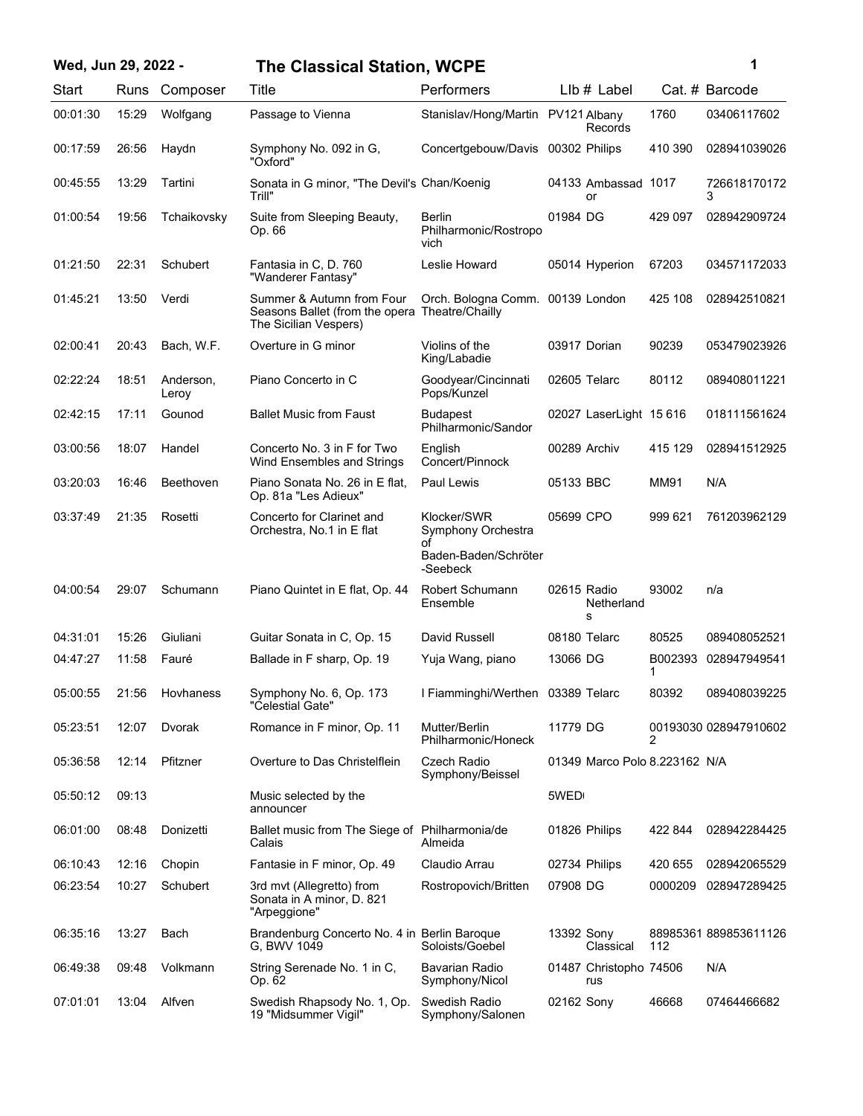| Wed, Jun 29, 2022 - |       |                    | <b>The Classical Station, WCPE</b>                                                                   |                                                                             |              |                               |         | 1                     |
|---------------------|-------|--------------------|------------------------------------------------------------------------------------------------------|-----------------------------------------------------------------------------|--------------|-------------------------------|---------|-----------------------|
| Start               |       | Runs Composer      | Title                                                                                                | Performers                                                                  |              | LIb # Label                   |         | Cat. # Barcode        |
| 00:01:30            | 15:29 | Wolfgang           | Passage to Vienna                                                                                    | Stanislav/Hong/Martin PV121 Albany                                          |              | Records                       | 1760    | 03406117602           |
| 00:17:59            | 26:56 | Haydn              | Symphony No. 092 in G,<br>"Oxford"                                                                   | Concertgebouw/Davis                                                         |              | 00302 Philips                 | 410 390 | 028941039026          |
| 00:45:55            | 13:29 | Tartini            | Sonata in G minor, "The Devil's Chan/Koenig<br>Trill"                                                |                                                                             |              | 04133 Ambassad 1017<br>or     |         | 726618170172<br>3     |
| 01:00:54            | 19:56 | Tchaikovsky        | Suite from Sleeping Beauty,<br>Op. 66                                                                | <b>Berlin</b><br>Philharmonic/Rostropo<br>vich                              | 01984 DG     |                               | 429 097 | 028942909724          |
| 01:21:50            | 22:31 | Schubert           | Fantasia in C, D. 760<br>"Wanderer Fantasy"                                                          | Leslie Howard                                                               |              | 05014 Hyperion                | 67203   | 034571172033          |
| 01:45:21            | 13:50 | Verdi              | Summer & Autumn from Four<br>Seasons Ballet (from the opera Theatre/Chailly<br>The Sicilian Vespers) | Orch. Bologna Comm. 00139 London                                            |              |                               | 425 108 | 028942510821          |
| 02:00:41            | 20:43 | Bach, W.F.         | Overture in G minor                                                                                  | Violins of the<br>King/Labadie                                              |              | 03917 Dorian                  | 90239   | 053479023926          |
| 02:22:24            | 18:51 | Anderson,<br>Leroy | Piano Concerto in C                                                                                  | Goodyear/Cincinnati<br>Pops/Kunzel                                          |              | 02605 Telarc                  | 80112   | 089408011221          |
| 02:42:15            | 17:11 | Gounod             | <b>Ballet Music from Faust</b>                                                                       | Budapest<br>Philharmonic/Sandor                                             |              | 02027 LaserLight 15 616       |         | 018111561624          |
| 03:00:56            | 18:07 | Handel             | Concerto No. 3 in F for Two<br>Wind Ensembles and Strings                                            | English<br>Concert/Pinnock                                                  | 00289 Archiv |                               | 415 129 | 028941512925          |
| 03:20:03            | 16:46 | Beethoven          | Piano Sonata No. 26 in E flat,<br>Op. 81a "Les Adieux"                                               | Paul Lewis                                                                  | 05133 BBC    |                               | MM91    | N/A                   |
| 03:37:49            | 21:35 | Rosetti            | Concerto for Clarinet and<br>Orchestra, No.1 in E flat                                               | Klocker/SWR<br>Symphony Orchestra<br>Ωf<br>Baden-Baden/Schröter<br>-Seebeck | 05699 CPO    |                               | 999 621 | 761203962129          |
| 04:00:54            | 29:07 | Schumann           | Piano Quintet in E flat, Op. 44                                                                      | Robert Schumann<br>Ensemble                                                 | 02615 Radio  | Netherland<br>S               | 93002   | n/a                   |
| 04:31:01            | 15:26 | Giuliani           | Guitar Sonata in C, Op. 15                                                                           | David Russell                                                               |              | 08180 Telarc                  | 80525   | 089408052521          |
| 04:47:27            | 11:58 | Fauré              | Ballade in F sharp, Op. 19                                                                           | Yuja Wang, piano                                                            | 13066 DG     |                               | 1       | B002393 028947949541  |
| 05:00:55            |       | 21:56 Hovhaness    | Symphony No. 6, Op. 173<br>"Celestial Gate"                                                          | I Fiamminghi/Werthen 03389 Telarc                                           |              |                               | 80392   | 089408039225          |
| 05:23:51            | 12:07 | Dvorak             | Romance in F minor, Op. 11                                                                           | Mutter/Berlin<br>Philharmonic/Honeck                                        | 11779 DG     |                               | 2       | 00193030 028947910602 |
| 05:36:58            | 12:14 | Pfitzner           | Overture to Das Christelflein                                                                        | Czech Radio<br>Symphony/Beissel                                             |              | 01349 Marco Polo 8.223162 N/A |         |                       |
| 05:50:12            | 09:13 |                    | Music selected by the<br>announcer                                                                   |                                                                             | 5WED         |                               |         |                       |
| 06:01:00            | 08:48 | Donizetti          | Ballet music from The Siege of Philharmonia/de<br>Calais                                             | Almeida                                                                     |              | 01826 Philips                 | 422 844 | 028942284425          |
| 06:10:43            | 12:16 | Chopin             | Fantasie in F minor, Op. 49                                                                          | Claudio Arrau                                                               |              | 02734 Philips                 | 420 655 | 028942065529          |
| 06:23:54            | 10:27 | Schubert           | 3rd mvt (Allegretto) from<br>Sonata in A minor, D. 821<br>"Arpeggione"                               | Rostropovich/Britten                                                        | 07908 DG     |                               | 0000209 | 028947289425          |
| 06:35:16            | 13:27 | Bach               | Brandenburg Concerto No. 4 in Berlin Baroque<br>G, BWV 1049                                          | Soloists/Goebel                                                             | 13392 Sony   | Classical                     | 112     | 88985361889853611126  |
| 06:49:38            | 09:48 | Volkmann           | String Serenade No. 1 in C,<br>Op. 62                                                                | Bavarian Radio<br>Symphony/Nicol                                            |              | 01487 Christopho 74506<br>rus |         | N/A                   |
| 07:01:01            | 13:04 | Alfven             | Swedish Rhapsody No. 1, Op.<br>19 "Midsummer Vigil"                                                  | Swedish Radio<br>Symphony/Salonen                                           | 02162 Sony   |                               | 46668   | 07464466682           |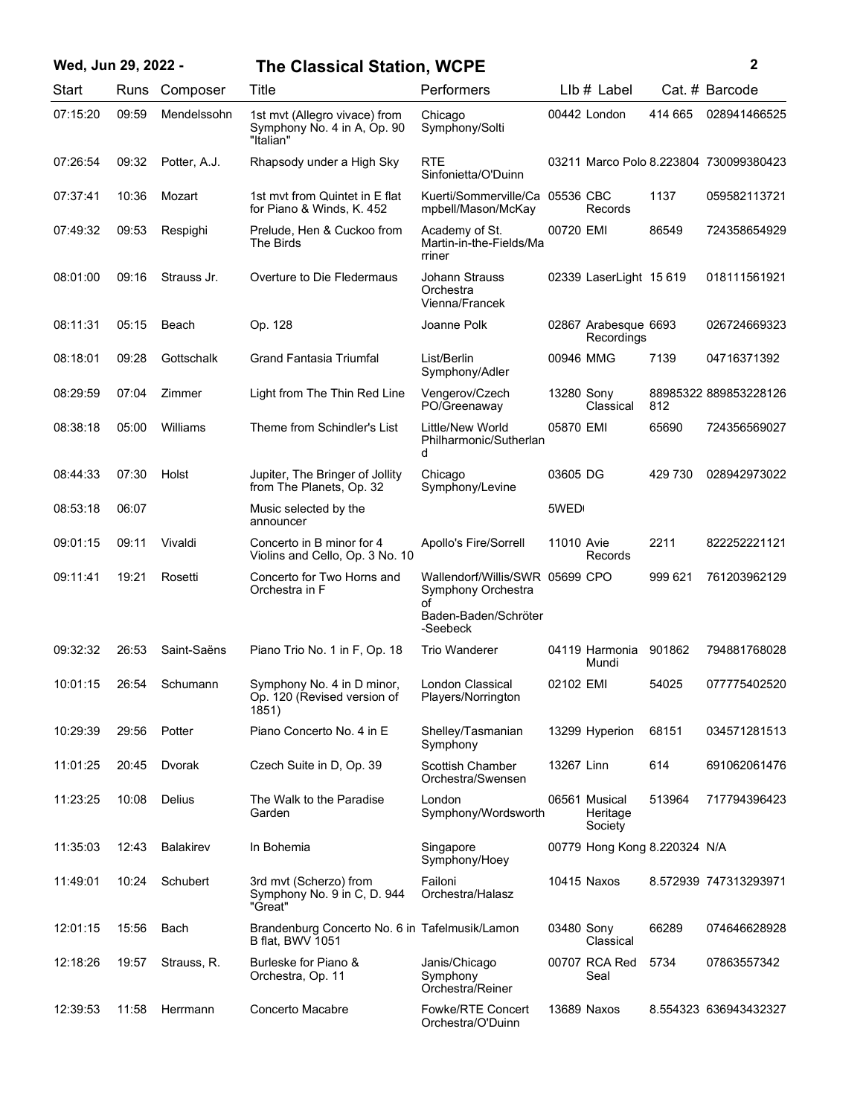| Wed, Jun 29, 2022 - |       |                  | <b>The Classical Station, WCPE</b>                                        |                                                             |            |                                      |         | 2                                      |
|---------------------|-------|------------------|---------------------------------------------------------------------------|-------------------------------------------------------------|------------|--------------------------------------|---------|----------------------------------------|
| Start               |       | Runs Composer    | Title                                                                     | Performers                                                  |            | $Llb#$ Label                         |         | Cat. # Barcode                         |
| 07:15:20            | 09:59 | Mendelssohn      | 1st mvt (Allegro vivace) from<br>Symphony No. 4 in A, Op. 90<br>"Italian" | Chicago<br>Symphony/Solti                                   |            | 00442 London                         | 414 665 | 028941466525                           |
| 07:26:54            | 09:32 | Potter, A.J.     | Rhapsody under a High Sky                                                 | <b>RTE</b><br>Sinfonietta/O'Duinn                           |            |                                      |         | 03211 Marco Polo 8.223804 730099380423 |
| 07:37:41            | 10:36 | Mozart           | 1st myt from Quintet in E flat<br>for Piano & Winds, K. 452               | Kuerti/Sommerville/Ca 05536 CBC<br>mpbell/Mason/McKay       |            | Records                              | 1137    | 059582113721                           |
| 07:49:32            | 09:53 | Respighi         | Prelude, Hen & Cuckoo from<br>The Birds                                   | Academy of St.<br>Martin-in-the-Fields/Ma<br>rriner         | 00720 EMI  |                                      | 86549   | 724358654929                           |
| 08:01:00            | 09:16 | Strauss Jr.      | Overture to Die Fledermaus                                                | Johann Strauss<br>Orchestra<br>Vienna/Francek               |            | 02339 LaserLight 15 619              |         | 018111561921                           |
| 08:11:31            | 05:15 | Beach            | Op. 128                                                                   | Joanne Polk                                                 |            | 02867 Arabesque 6693<br>Recordings   |         | 026724669323                           |
| 08:18:01            | 09:28 | Gottschalk       | <b>Grand Fantasia Triumfal</b>                                            | List/Berlin<br>Symphony/Adler                               | 00946 MMG  |                                      | 7139    | 04716371392                            |
| 08:29:59            | 07:04 | Zimmer           | Light from The Thin Red Line                                              | Vengerov/Czech<br>PO/Greenaway                              | 13280 Sony | Classical                            | 812     | 88985322 889853228126                  |
| 08:38:18            | 05:00 | Williams         | Theme from Schindler's List                                               | Little/New World<br>Philharmonic/Sutherlan<br>d             | 05870 EMI  |                                      | 65690   | 724356569027                           |
| 08:44:33            | 07:30 | Holst            | Jupiter, The Bringer of Jollity<br>from The Planets, Op. 32               | Chicago<br>Symphony/Levine                                  | 03605 DG   |                                      | 429 730 | 028942973022                           |
| 08:53:18            | 06:07 |                  | Music selected by the<br>announcer                                        |                                                             | 5WED       |                                      |         |                                        |
| 09:01:15            | 09:11 | Vivaldi          | Concerto in B minor for 4<br>Violins and Cello, Op. 3 No. 10              | Apollo's Fire/Sorrell                                       | 11010 Avie | Records                              | 2211    | 822252221121                           |
| 09:11:41            | 19:21 | Rosetti          | Concerto for Two Horns and<br>Orchestra in F                              | Wallendorf/Willis/SWR 05699 CPO<br>Symphony Orchestra<br>Ωf |            |                                      | 999 621 | 761203962129                           |
|                     |       |                  |                                                                           | Baden-Baden/Schröter<br>-Seebeck                            |            |                                      |         |                                        |
| 09:32:32            | 26:53 | Saint-Saëns      | Piano Trio No. 1 in F, Op. 18                                             | <b>Trio Wanderer</b>                                        |            | 04119 Harmonia<br>Mundi              | 901862  | 794881768028                           |
| 10:01:15            | 26:54 | Schumann         | Symphony No. 4 in D minor,<br>Op. 120 (Revised version of<br>1851)        | London Classical<br>Players/Norrington                      | 02102 EMI  |                                      | 54025   | 077775402520                           |
| 10:29:39            | 29:56 | Potter           | Piano Concerto No. 4 in E                                                 | Shelley/Tasmanian<br>Symphony                               |            | 13299 Hyperion                       | 68151   | 034571281513                           |
| 11:01:25            | 20:45 | Dvorak           | Czech Suite in D, Op. 39                                                  | Scottish Chamber<br>Orchestra/Swensen                       | 13267 Linn |                                      | 614     | 691062061476                           |
| 11:23:25            | 10:08 | <b>Delius</b>    | The Walk to the Paradise<br>Garden                                        | London<br>Symphony/Wordsworth                               |            | 06561 Musical<br>Heritage<br>Society | 513964  | 717794396423                           |
| 11:35:03            | 12:43 | <b>Balakirev</b> | In Bohemia                                                                | Singapore<br>Symphony/Hoey                                  |            | 00779 Hong Kong 8.220324 N/A         |         |                                        |
| 11:49:01            | 10:24 | Schubert         | 3rd mvt (Scherzo) from<br>Symphony No. 9 in C, D. 944<br>"Great"          | Failoni<br>Orchestra/Halasz                                 |            | 10415 Naxos                          |         | 8.572939 747313293971                  |
| 12:01:15            | 15:56 | Bach             | Brandenburg Concerto No. 6 in Tafelmusik/Lamon<br><b>B</b> flat, BWV 1051 |                                                             | 03480 Sony | Classical                            | 66289   | 074646628928                           |
| 12:18:26            | 19:57 | Strauss, R.      | Burleske for Piano &<br>Orchestra, Op. 11                                 | Janis/Chicago<br>Symphony<br>Orchestra/Reiner               |            | 00707 RCA Red<br>Seal                | 5734    | 07863557342                            |
| 12:39:53            | 11:58 | Herrmann         | Concerto Macabre                                                          | Fowke/RTE Concert<br>Orchestra/O'Duinn                      |            | 13689 Naxos                          |         | 8.554323 636943432327                  |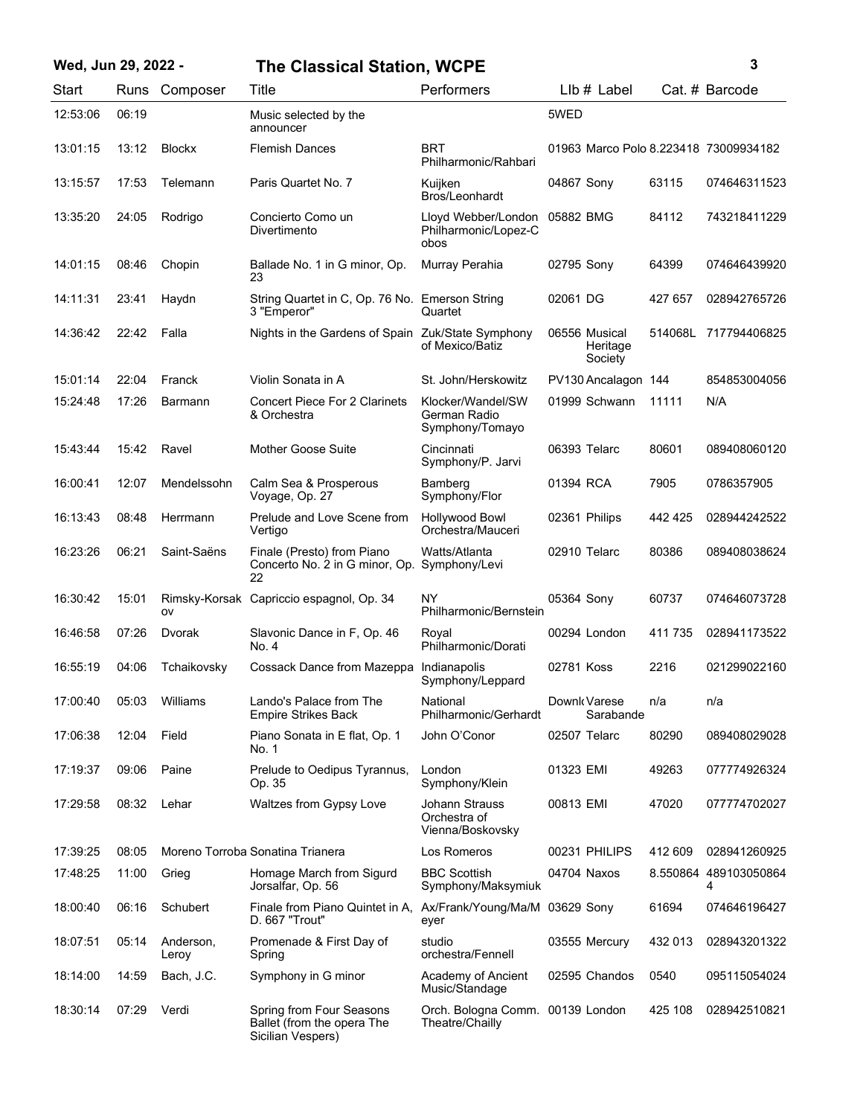## **Wed, Jun 29, 2022 - 3 The Classical Station, WCPE**

| Start    | Runs  | Composer           | Title                                                                       | Performers                                                    | LIb # Label                           |         | Cat. # Barcode             |
|----------|-------|--------------------|-----------------------------------------------------------------------------|---------------------------------------------------------------|---------------------------------------|---------|----------------------------|
| 12:53:06 | 06:19 |                    | Music selected by the<br>announcer                                          |                                                               | 5WED                                  |         |                            |
| 13:01:15 | 13:12 | <b>Blockx</b>      | <b>Flemish Dances</b>                                                       | <b>BRT</b><br>Philharmonic/Rahbari                            | 01963 Marco Polo 8.223418 73009934182 |         |                            |
| 13:15:57 | 17:53 | Telemann           | Paris Quartet No. 7                                                         | Kuijken<br>Bros/Leonhardt                                     | 04867 Sony                            | 63115   | 074646311523               |
| 13:35:20 | 24:05 | Rodrigo            | Concierto Como un<br>Divertimento                                           | Lloyd Webber/London 05882 BMG<br>Philharmonic/Lopez-C<br>obos |                                       | 84112   | 743218411229               |
| 14:01:15 | 08:46 | Chopin             | Ballade No. 1 in G minor, Op.<br>23                                         | Murray Perahia                                                | 02795 Sony                            | 64399   | 074646439920               |
| 14:11:31 | 23:41 | Haydn              | String Quartet in C, Op. 76 No. Emerson String<br>3 "Emperor"               | Quartet                                                       | 02061 DG                              | 427 657 | 028942765726               |
| 14:36:42 | 22:42 | Falla              | Nights in the Gardens of Spain Zuk/State Symphony                           | of Mexico/Batiz                                               | 06556 Musical<br>Heritage<br>Society  |         | 514068L 717794406825       |
| 15:01:14 | 22:04 | Franck             | Violin Sonata in A                                                          | St. John/Herskowitz                                           | PV130 Ancalagon 144                   |         | 854853004056               |
| 15:24:48 | 17:26 | Barmann            | <b>Concert Piece For 2 Clarinets</b><br>& Orchestra                         | Klocker/Wandel/SW<br>German Radio<br>Symphony/Tomayo          | 01999 Schwann                         | 11111   | N/A                        |
| 15:43:44 | 15:42 | Ravel              | <b>Mother Goose Suite</b>                                                   | Cincinnati<br>Symphony/P. Jarvi                               | 06393 Telarc                          | 80601   | 089408060120               |
| 16:00:41 | 12:07 | Mendelssohn        | Calm Sea & Prosperous<br>Voyage, Op. 27                                     | Bamberg<br>Symphony/Flor                                      | 01394 RCA                             | 7905    | 0786357905                 |
| 16:13:43 | 08:48 | Herrmann           | Prelude and Love Scene from<br>Vertigo                                      | <b>Hollywood Bowl</b><br>Orchestra/Mauceri                    | 02361 Philips                         | 442 425 | 028944242522               |
| 16:23:26 | 06:21 | Saint-Saëns        | Finale (Presto) from Piano<br>Concerto No. 2 in G minor, Op.<br>22          | Watts/Atlanta<br>Symphony/Levi                                | 02910 Telarc                          | 80386   | 089408038624               |
| 16:30:42 | 15:01 | ov                 | Rimsky-Korsak Capriccio espagnol, Op. 34                                    | NY<br>Philharmonic/Bernstein                                  | 05364 Sony                            | 60737   | 074646073728               |
| 16:46:58 | 07:26 | Dvorak             | Slavonic Dance in F, Op. 46<br>No. 4                                        | Royal<br>Philharmonic/Dorati                                  | 00294 London                          | 411 735 | 028941173522               |
| 16:55:19 | 04:06 | Tchaikovsky        | Cossack Dance from Mazeppa                                                  | Indianapolis<br>Symphony/Leppard                              | 02781 Koss                            | 2216    | 021299022160               |
| 17:00:40 | 05:03 | Williams           | Lando's Palace from The<br><b>Empire Strikes Back</b>                       | National<br>Philharmonic/Gerhardt                             | Downk Varese<br>Sarabande             | n/a     | n/a                        |
| 17:06:38 | 12:04 | Field              | Piano Sonata in E flat, Op. 1<br>No. 1                                      | John O'Conor                                                  | 02507 Telarc                          | 80290   | 089408029028               |
| 17:19:37 | 09:06 | Paine              | Prelude to Oedipus Tyrannus,<br>Op. 35                                      | London<br>Symphony/Klein                                      | 01323 EMI                             | 49263   | 077774926324               |
| 17:29:58 | 08:32 | Lehar              | Waltzes from Gypsy Love                                                     | Johann Strauss<br>Orchestra of<br>Vienna/Boskovsky            | 00813 EMI                             | 47020   | 077774702027               |
| 17:39:25 | 08:05 |                    | Moreno Torroba Sonatina Trianera                                            | Los Romeros                                                   | 00231 PHILIPS                         | 412 609 | 028941260925               |
| 17:48:25 | 11:00 | Grieg              | Homage March from Sigurd<br>Jorsalfar, Op. 56                               | <b>BBC Scottish</b><br>Symphony/Maksymiuk                     | 04704 Naxos                           |         | 8.550864 489103050864<br>4 |
| 18:00:40 | 06:16 | Schubert           | Finale from Piano Quintet in A,<br>D. 667 "Trout"                           | Ax/Frank/Young/Ma/M 03629 Sony<br>eyer                        |                                       | 61694   | 074646196427               |
| 18:07:51 | 05:14 | Anderson,<br>Leroy | Promenade & First Day of<br>Spring                                          | studio<br>orchestra/Fennell                                   | 03555 Mercury                         | 432 013 | 028943201322               |
| 18:14:00 | 14:59 | Bach, J.C.         | Symphony in G minor                                                         | Academy of Ancient<br>Music/Standage                          | 02595 Chandos                         | 0540    | 095115054024               |
| 18:30:14 | 07:29 | Verdi              | Spring from Four Seasons<br>Ballet (from the opera The<br>Sicilian Vespers) | Orch. Bologna Comm. 00139 London<br>Theatre/Chailly           |                                       | 425 108 | 028942510821               |